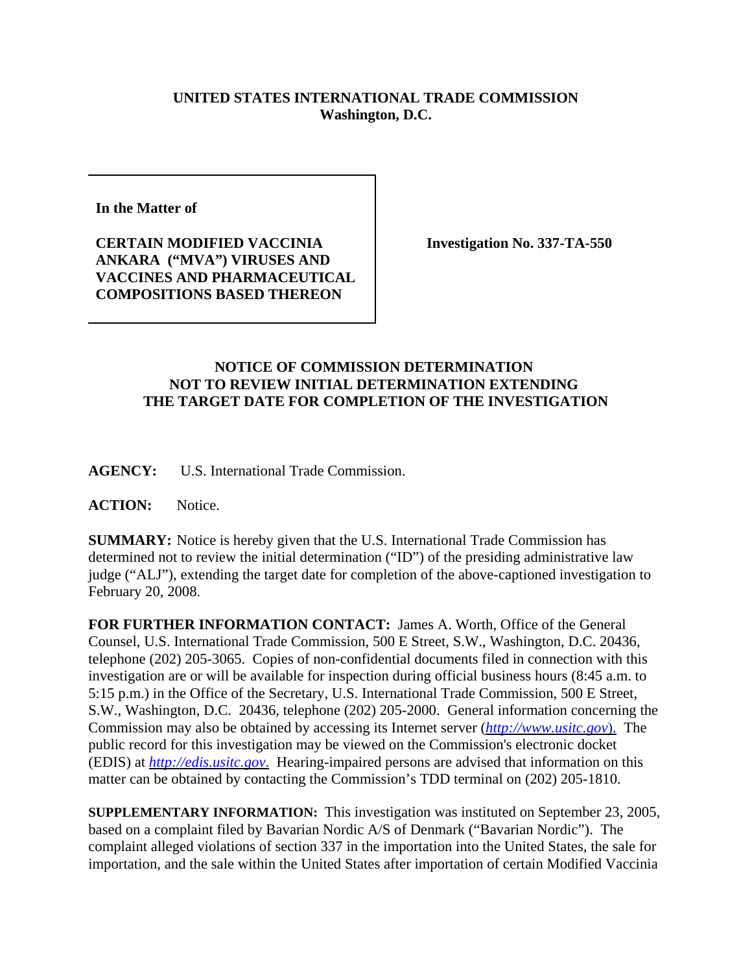## **UNITED STATES INTERNATIONAL TRADE COMMISSION Washington, D.C.**

**In the Matter of**

**CERTAIN MODIFIED VACCINIA ANKARA ("MVA") VIRUSES AND VACCINES AND PHARMACEUTICAL COMPOSITIONS BASED THEREON**

**Investigation No. 337-TA-550**

## **NOTICE OF COMMISSION DETERMINATION NOT TO REVIEW INITIAL DETERMINATION EXTENDING THE TARGET DATE FOR COMPLETION OF THE INVESTIGATION**

**AGENCY:** U.S. International Trade Commission.

**ACTION:** Notice.

**SUMMARY:** Notice is hereby given that the U.S. International Trade Commission has determined not to review the initial determination ("ID") of the presiding administrative law judge ("ALJ"), extending the target date for completion of the above-captioned investigation to February 20, 2008.

**FOR FURTHER INFORMATION CONTACT:** James A. Worth, Office of the General Counsel, U.S. International Trade Commission, 500 E Street, S.W., Washington, D.C. 20436, telephone (202) 205-3065. Copies of non-confidential documents filed in connection with this investigation are or will be available for inspection during official business hours (8:45 a.m. to 5:15 p.m.) in the Office of the Secretary, U.S. International Trade Commission, 500 E Street, S.W., Washington, D.C. 20436, telephone (202) 205-2000. General information concerning the Commission may also be obtained by accessing its Internet server (*http://www.usitc.gov*). The public record for this investigation may be viewed on the Commission's electronic docket (EDIS) at *http://edis.usitc.gov*. Hearing-impaired persons are advised that information on this matter can be obtained by contacting the Commission's TDD terminal on (202) 205-1810.

**SUPPLEMENTARY INFORMATION:** This investigation was instituted on September 23, 2005, based on a complaint filed by Bavarian Nordic A/S of Denmark ("Bavarian Nordic"). The complaint alleged violations of section 337 in the importation into the United States, the sale for importation, and the sale within the United States after importation of certain Modified Vaccinia